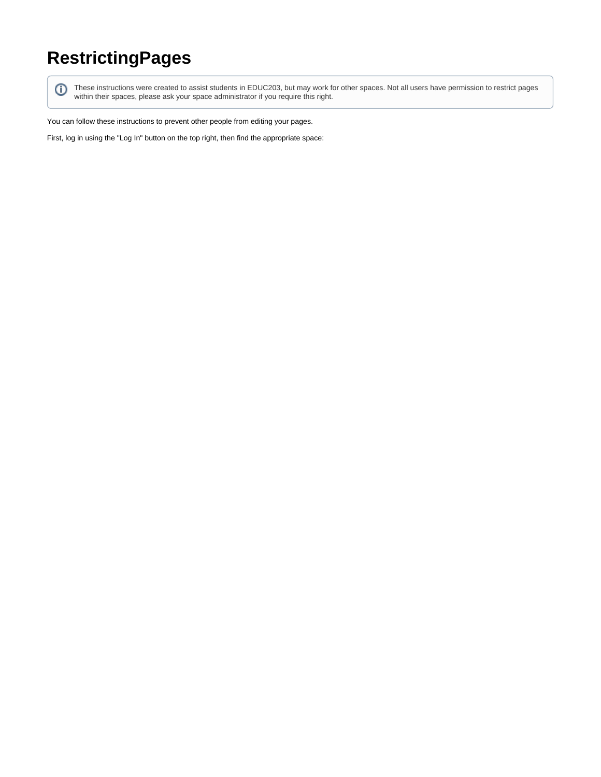## **RestrictingPages**

⊕

These instructions were created to assist students in EDUC203, but may work for other spaces. Not all users have permission to restrict pages within their spaces, please ask your space administrator if you require this right.

You can follow these instructions to prevent other people from editing your pages.

First, log in using the "Log In" button on the top right, then find the appropriate space: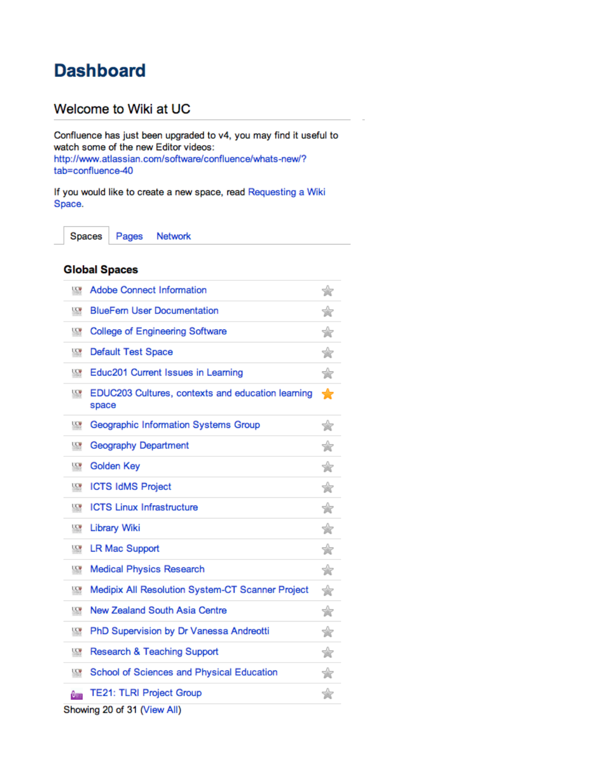## **Dashboard**

## Welcome to Wiki at UC

Confluence has just been upgraded to v4, you may find it useful to watch some of the new Editor videos: http://www.atlassian.com/software/confluence/whats-new/? tab=confluence-40

If you would like to create a new space, read Requesting a Wiki Space.

Spaces Pages Network

## **Global Spaces**

| $\overline{ac}$         | <b>Adobe Connect Information</b>                           | ☆ |  |  |  |
|-------------------------|------------------------------------------------------------|---|--|--|--|
| <b>LCW</b>              | <b>BlueFern User Documentation</b>                         | ☆ |  |  |  |
| <b>LCM</b>              | <b>College of Engineering Software</b>                     | ☆ |  |  |  |
| $\overline{ac}$         | <b>Default Test Space</b>                                  | ☆ |  |  |  |
| <b>LCV</b>              | Educ201 Current Issues in Learning                         | ☆ |  |  |  |
| <b>LCW</b>              | EDUC203 Cultures, contexts and education learning<br>space | ╈ |  |  |  |
| $\overline{ac}$         | Geographic Information Systems Group                       | ☆ |  |  |  |
| $\overline{ac}$         | <b>Geography Department</b>                                | ☆ |  |  |  |
| <b>LCM</b>              | <b>Golden Key</b>                                          | ☆ |  |  |  |
| $\overline{CC}$         | <b>ICTS IdMS Project</b>                                   | ☆ |  |  |  |
| $\overline{ac}$         | <b>ICTS Linux Infrastructure</b>                           | ☆ |  |  |  |
| $\overline{\mathbf{w}}$ | Library Wiki                                               | ☆ |  |  |  |
| <b>UCM</b>              | <b>LR Mac Support</b>                                      | ☆ |  |  |  |
| $\overline{ac}$         | <b>Medical Physics Research</b>                            | ☆ |  |  |  |
| $\overline{ac}$         | Medipix All Resolution System-CT Scanner Project           | ☆ |  |  |  |
| $\overline{ac}$         | <b>New Zealand South Asia Centre</b>                       | ☆ |  |  |  |
| <b>LCV</b>              | PhD Supervision by Dr Vanessa Andreotti                    | ☆ |  |  |  |
| $\overline{ac}$         | Research & Teaching Support                                | ☆ |  |  |  |
| <b>LCW</b>              | School of Sciences and Physical Education                  | ☆ |  |  |  |
| Aran                    | <b>TE21: TLRI Project Group</b>                            | ☆ |  |  |  |
|                         | Showing 20 of 31 (View All)                                |   |  |  |  |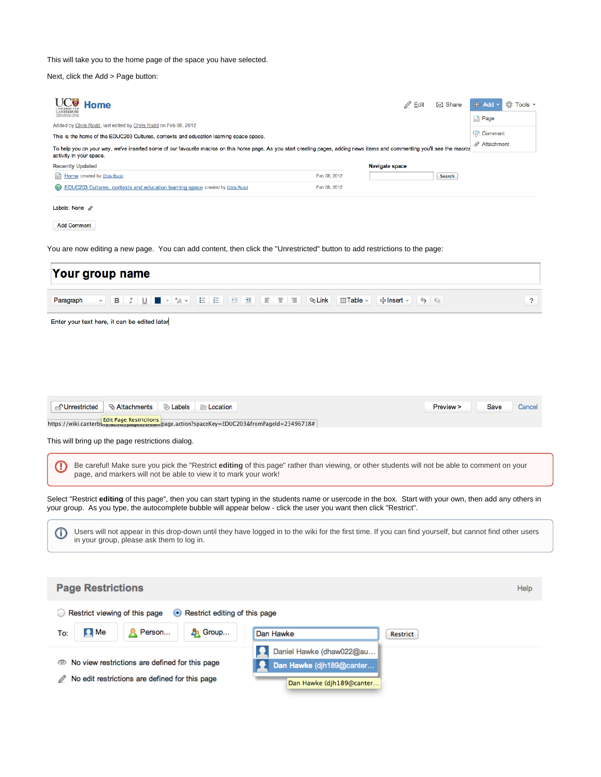This will take you to the home page of the space you have selected.

Next, click the Add > Page button:

| <b>∠⊎</b> Home<br><b>CANTERBURY</b><br>To Whave Wilmarga o Miniteds                                                                                                                                                       |              | $\mathbb{Z}$ Edit     | $\boxtimes$ Share | $\div$ Add $\sim$<br>tö:<br>Tools $\sim$<br>Page |
|---------------------------------------------------------------------------------------------------------------------------------------------------------------------------------------------------------------------------|--------------|-----------------------|-------------------|--------------------------------------------------|
| Added by Chris Rodd, last edited by Chris Rodd on Feb 08, 2012                                                                                                                                                            |              |                       |                   |                                                  |
| This is the home of the EDUC203 Cultures, contexts and education learning space space.                                                                                                                                    |              |                       | Comment           |                                                  |
| 0<br>Attachment<br>To help you on your way, we've inserted some of our favourite macros on this home page. As you start creating pages, adding news items and commenting you'll see the macros<br>activity in your space. |              |                       |                   |                                                  |
| <b>Recently Updated</b>                                                                                                                                                                                                   |              | <b>Navigate space</b> |                   |                                                  |
| Home created by Chris Rodd                                                                                                                                                                                                | Feb 08, 2012 |                       | Search            |                                                  |
| (5) EDUC203 Cultures, contexts and education learning space created by Chris Rodd                                                                                                                                         | Feb 08, 2012 |                       |                   |                                                  |
| Labels: None $\mathscr{D}$                                                                                                                                                                                                |              |                       |                   |                                                  |

Add Comment

You are now editing a new page. You can add content, then click the "Unrestricted" button to add restrictions to the page:

| Your group name                                                                                                                                                                                                                                                                   |                                                          |                                     |                  |
|-----------------------------------------------------------------------------------------------------------------------------------------------------------------------------------------------------------------------------------------------------------------------------------|----------------------------------------------------------|-------------------------------------|------------------|
| 挂 挂<br>$\pm$<br>Paragraph<br>в<br>$^a$ A $\tau$<br>任<br>I<br>U                                                                                                                                                                                                                    | m.<br><b>&amp; Link</b><br>$\Box$ Table $\sim$<br>亖<br>Ξ | ╬Insert –<br>ٰ<br>$\Leftrightarrow$ | $\boldsymbol{?}$ |
| Enter your text here, it can be edited later                                                                                                                                                                                                                                      |                                                          |                                     |                  |
|                                                                                                                                                                                                                                                                                   |                                                          |                                     |                  |
|                                                                                                                                                                                                                                                                                   |                                                          |                                     |                  |
| <b>f</b> Unrestricted<br><b>SAttachments</b><br>Labels<br><b>E</b> Location                                                                                                                                                                                                       |                                                          | Preview ><br><b>Save</b>            | Cancel           |
| <b>Edit Page Restrictions</b><br>ner nestrictions<br>her payes/steate/page.action?spaceKey=EDUC203&fromPageId=23496718#<br>https://wiki.canterbury.as                                                                                                                             |                                                          |                                     |                  |
| This will bring up the page restrictions dialog.                                                                                                                                                                                                                                  |                                                          |                                     |                  |
| Be careful! Make sure you pick the "Restrict editing of this page" rather than viewing, or other students will not be able to comment on your<br>Œ                                                                                                                                |                                                          |                                     |                  |
| page, and markers will not be able to view it to mark your work!                                                                                                                                                                                                                  |                                                          |                                     |                  |
| Select "Restrict editing of this page", then you can start typing in the students name or usercode in the box. Start with your own, then add any others in<br>your group. As you type, the autocomplete bubble will appear below - click the user you want then click "Restrict". |                                                          |                                     |                  |
| Users will not appear in this drop-down until they have logged in to the wiki for the first time. If you can find yourself, but cannot find other users<br>⊕<br>in your group, please ask them to log in.                                                                         |                                                          |                                     |                  |
|                                                                                                                                                                                                                                                                                   |                                                          |                                     |                  |
| <b>Page Restrictions</b>                                                                                                                                                                                                                                                          |                                                          |                                     | Help             |
| Restrict viewing of this page<br>Restrict editing of this page<br>$\left( \bullet \right)$                                                                                                                                                                                        |                                                          |                                     |                  |
| Person<br><b>A</b> Group<br><b>EX</b> Me<br>To:                                                                                                                                                                                                                                   | Dan Hawke                                                | <b>Restrict</b>                     |                  |
|                                                                                                                                                                                                                                                                                   | Daniel Hawke (dhaw022@au                                 |                                     |                  |
| No view restrictions are defined for this page<br>$\circ$<br>No edit restrictions are defined for this page                                                                                                                                                                       | Dan Hawke (djh189@canter                                 |                                     |                  |
|                                                                                                                                                                                                                                                                                   | Dan Hawke (djh189@canter                                 |                                     |                  |